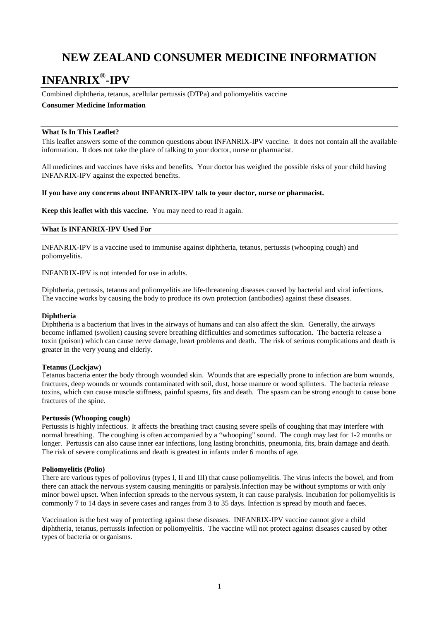# **NEW ZEALAND CONSUMER MEDICINE INFORMATION**

# **INFANRIX®-IPV**

Combined diphtheria, tetanus, acellular pertussis (DTPa) and poliomyelitis vaccine

# **Consumer Medicine Information**

## **What Is In This Leaflet?**

This leaflet answers some of the common questions about INFANRIX-IPV vaccine. It does not contain all the available information. It does not take the place of talking to your doctor, nurse or pharmacist.

All medicines and vaccines have risks and benefits. Your doctor has weighed the possible risks of your child having INFANRIX-IPV against the expected benefits.

## **If you have any concerns about INFANRIX-IPV talk to your doctor, nurse or pharmacist.**

**Keep this leaflet with this vaccine**. You may need to read it again.

## **What Is INFANRIX-IPV Used For**

INFANRIX-IPV is a vaccine used to immunise against diphtheria, tetanus, pertussis (whooping cough) and poliomyelitis.

INFANRIX-IPV is not intended for use in adults.

Diphtheria, pertussis, tetanus and poliomyelitis are life-threatening diseases caused by bacterial and viral infections. The vaccine works by causing the body to produce its own protection (antibodies) against these diseases.

#### **Diphtheria**

Diphtheria is a bacterium that lives in the airways of humans and can also affect the skin. Generally, the airways become inflamed (swollen) causing severe breathing difficulties and sometimes suffocation. The bacteria release a toxin (poison) which can cause nerve damage, heart problems and death. The risk of serious complications and death is greater in the very young and elderly.

## **Tetanus (Lockjaw)**

Tetanus bacteria enter the body through wounded skin. Wounds that are especially prone to infection are burn wounds, fractures, deep wounds or wounds contaminated with soil, dust, horse manure or wood splinters. The bacteria release toxins, which can cause muscle stiffness, painful spasms, fits and death. The spasm can be strong enough to cause bone fractures of the spine.

#### **Pertussis (Whooping cough)**

Pertussis is highly infectious. It affects the breathing tract causing severe spells of coughing that may interfere with normal breathing. The coughing is often accompanied by a "whooping" sound. The cough may last for 1-2 months or longer. Pertussis can also cause inner ear infections, long lasting bronchitis, pneumonia, fits, brain damage and death. The risk of severe complications and death is greatest in infants under 6 months of age.

## **Poliomyelitis (Polio)**

There are various types of poliovirus (types I, II and III) that cause poliomyelitis. The virus infects the bowel, and from there can attack the nervous system causing meningitis or paralysis.Infection may be without symptoms or with only minor bowel upset. When infection spreads to the nervous system, it can cause paralysis. Incubation for poliomyelitis is commonly 7 to 14 days in severe cases and ranges from 3 to 35 days. Infection is spread by mouth and faeces.

Vaccination is the best way of protecting against these diseases. INFANRIX-IPV vaccine cannot give a child diphtheria, tetanus, pertussis infection or poliomyelitis. The vaccine will not protect against diseases caused by other types of bacteria or organisms.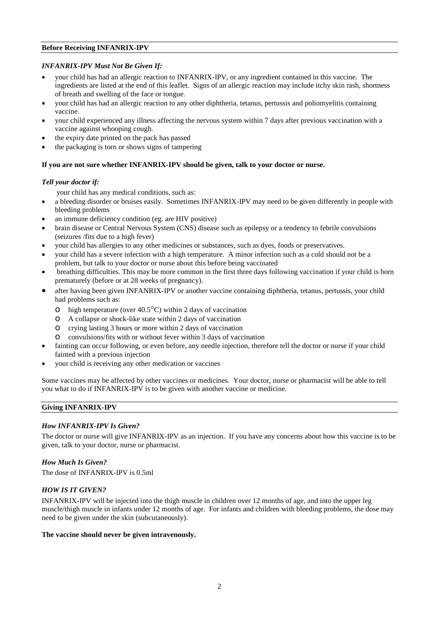## **Before Receiving INFANRIX-IPV**

# *INFANRIX-IPV Must Not Be Given If:*

- your child has had an allergic reaction to INFANRIX-IPV, or any ingredient contained in this vaccine. The ingredients are listed at the end of this leaflet. Signs of an allergic reaction may include itchy skin rash, shortness of breath and swelling of the face or tongue.
- your child has had an allergic reaction to any other diphtheria, tetanus, pertussis and poliomyelitis containing vaccine.
- your child experienced any illness affecting the nervous system within 7 days after previous vaccination with a vaccine against whooping cough.
- the expiry date printed on the pack has passed
- the packaging is torn or shows signs of tampering

# **If you are not sure whether INFANRIX-IPV should be given, talk to your doctor or nurse.**

# *Tell your doctor if:*

your child has any medical conditions, such as:

- a bleeding disorder or bruises easily. Sometimes INFANRIX-IPV may need to be given differently in people with bleeding problems
- an immune deficiency condition (eg. are HIV positive)
- brain disease or Central Nervous System (CNS) disease such as epilepsy or a tendency to febrile convulsions (seizures /fits due to a high fever)
- your child has allergies to any other medicines or substances, such as dyes, foods or preservatives.
- your child has a severe infection with a high temperature. A minor infection such as a cold should not be a problem, but talk to your doctor or nurse about this before being vaccinated
- breathing difficulties. This may be more common in the first three days following vaccination if your child is born prematurely (before or at 28 weeks of pregnancy).
- after having been given INFANRIX-IPV or another vaccine containing diphtheria, tetanus, pertussis, your child had problems such as:
	- o high temperature (over  $40.5^{\circ}$ C) within 2 days of vaccination<br>  $\circ$  A collapse or shock-like state within 2 days of vaccination
	- o A collapse or shock-like state within 2 days of vaccination
	- o crying lasting 3 hours or more within 2 days of vaccination
	- o convulsions/fits with or without fever within 3 days of vaccination
- fainting can occur following, or even before, any needle injection, therefore tell the doctor or nurse if your child fainted with a previous injection
- your child is receiving any other medication or vaccines

Some vaccines may be affected by other vaccines or medicines. Your doctor, nurse or pharmacist will be able to tell you what to do if INFANRIX-IPV is to be given with another vaccine or medicine.

## **Giving INFANRIX-IPV**

# *How INFANRIX-IPV Is Given?*

The doctor or nurse will give INFANRIX-IPV as an injection. If you have any concerns about how this vaccine is to be given, talk to your doctor, nurse or pharmacist.

## *How Much Is Given?*

The dose of INFANRIX-IPV is 0.5ml

# *HOW IS IT GIVEN?*

INFANRIX-IPV will be injected into the thigh muscle in children over 12 months of age, and into the upper leg muscle/thigh muscle in infants under 12 months of age. For infants and children with bleeding problems, the dose may need to be given under the skin (subcutaneously).

## **The vaccine should never be given intravenously.**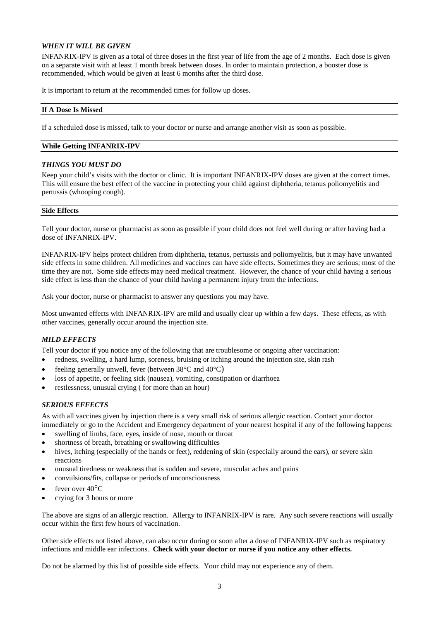## *WHEN IT WILL BE GIVEN*

INFANRIX-IPV is given as a total of three doses in the first year of life from the age of 2 months. Each dose is given on a separate visit with at least 1 month break between doses. In order to maintain protection, a booster dose is recommended, which would be given at least 6 months after the third dose.

It is important to return at the recommended times for follow up doses.

## **If A Dose Is Missed**

If a scheduled dose is missed, talk to your doctor or nurse and arrange another visit as soon as possible.

## **While Getting INFANRIX-IPV**

## *THINGS YOU MUST DO*

Keep your child's visits with the doctor or clinic. It is important INFANRIX-IPV doses are given at the correct times. This will ensure the best effect of the vaccine in protecting your child against diphtheria, tetanus poliomyelitis and pertussis (whooping cough).

#### **Side Effects**

Tell your doctor, nurse or pharmacist as soon as possible if your child does not feel well during or after having had a dose of INFANRIX-IPV.

INFANRIX-IPV helps protect children from diphtheria, tetanus, pertussis and poliomyelitis, but it may have unwanted side effects in some children. All medicines and vaccines can have side effects. Sometimes they are serious; most of the time they are not. Some side effects may need medical treatment. However, the chance of your child having a serious side effect is less than the chance of your child having a permanent injury from the infections.

Ask your doctor, nurse or pharmacist to answer any questions you may have.

Most unwanted effects with INFANRIX-IPV are mild and usually clear up within a few days. These effects, as with other vaccines, generally occur around the injection site.

## *MILD EFFECTS*

Tell your doctor if you notice any of the following that are troublesome or ongoing after vaccination:

- redness, swelling, a hard lump, soreness, bruising or itching around the injection site, skin rash
- feeling generally unwell, fever (between  $38^{\circ}$ C and  $40^{\circ}$ C)
- loss of appetite, or feeling sick (nausea), vomiting, constipation or diarrhoea
- restlessness, unusual crying (for more than an hour)

# *SERIOUS EFFECTS*

As with all vaccines given by injection there is a very small risk of serious allergic reaction. Contact your doctor immediately or go to the Accident and Emergency department of your nearest hospital if any of the following happens:

- swelling of limbs, face, eyes, inside of nose, mouth or throat
- shortness of breath, breathing or swallowing difficulties
- hives, itching (especially of the hands or feet), reddening of skin (especially around the ears), or severe skin reactions
- unusual tiredness or weakness that is sudden and severe, muscular aches and pains
- convulsions/fits, collapse or periods of unconsciousness
- fever over  $40^{\circ}$ C
- crying for 3 hours or more

The above are signs of an allergic reaction. Allergy to INFANRIX-IPV is rare. Any such severe reactions will usually occur within the first few hours of vaccination.

Other side effects not listed above, can also occur during or soon after a dose of INFANRIX-IPV such as respiratory infections and middle ear infections. **Check with your doctor or nurse if you notice any other effects.**

Do not be alarmed by this list of possible side effects. Your child may not experience any of them.